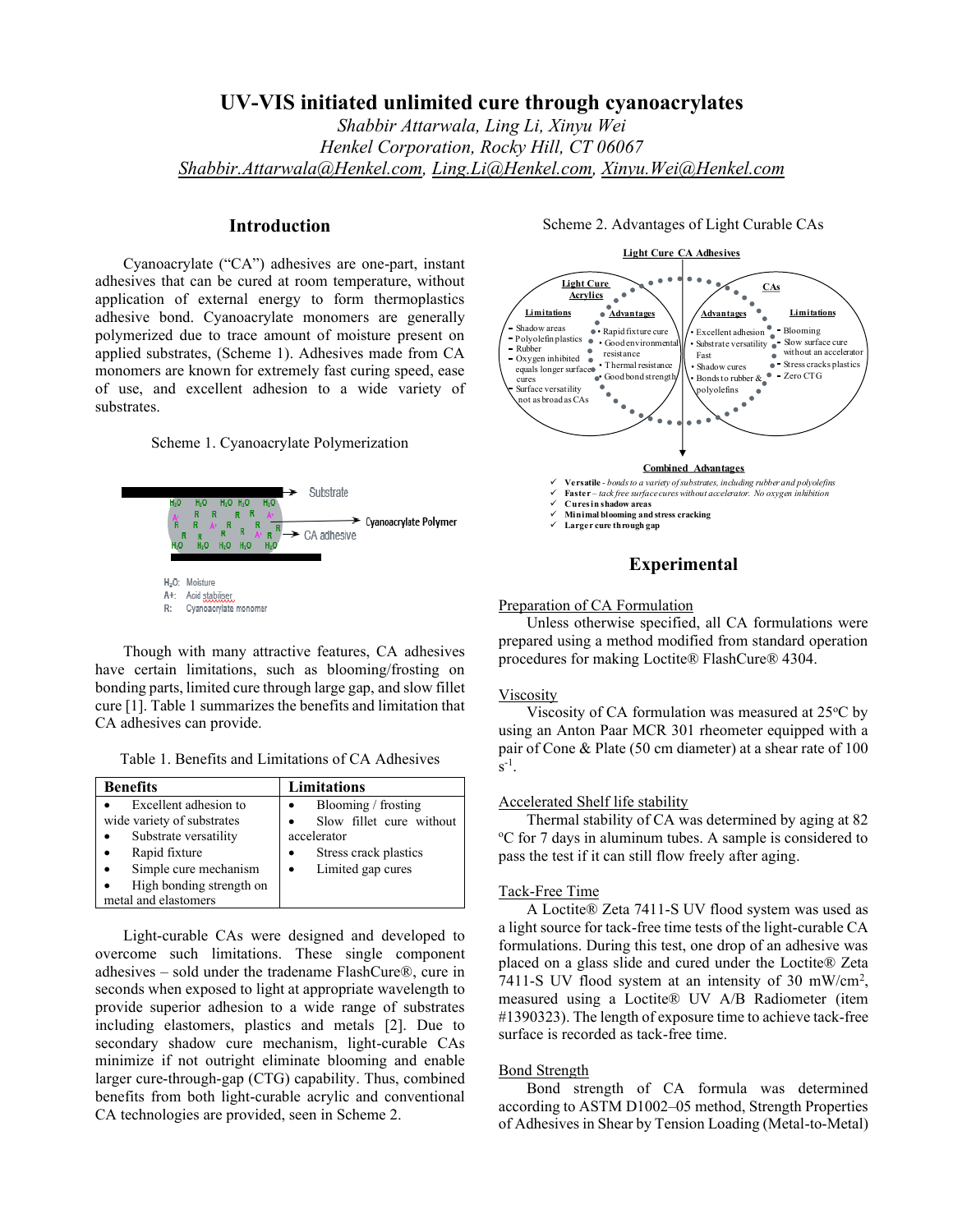# **UV-VIS initiated unlimited cure through cyanoacrylates**

*Shabbir Attarwala, Ling Li, Xinyu Wei Henkel Corporation, Rocky Hill, CT 06067 [Shabbir.Attarwala@Henkel.com,](mailto:Shabbir.Attarwala@Henkel.com) [Ling.Li@Henkel.com,](mailto:Ling.Li@Henkel.com) [Xinyu.Wei@Henkel.com](mailto:Xinyu.Wei@Henkel.com)*

### **Introduction**

Cyanoacrylate ("CA") adhesives are one-part, instant adhesives that can be cured at room temperature, without application of external energy to form thermoplastics adhesive bond. Cyanoacrylate monomers are generally polymerized due to trace amount of moisture present on applied substrates, (Scheme 1). Adhesives made from CA monomers are known for extremely fast curing speed, ease of use, and excellent adhesion to a wide variety of substrates.

Scheme 1. Cyanoacrylate Polymerization



Though with many attractive features, CA adhesives have certain limitations, such as blooming/frosting on bonding parts, limited cure through large gap, and slow fillet cure [1]. Table 1 summarizes the benefits and limitation that CA adhesives can provide.

Table 1. Benefits and Limitations of CA Adhesives

| <b>Benefits</b>                                                                                                                                                            | Limitations                                                                                                               |  |  |
|----------------------------------------------------------------------------------------------------------------------------------------------------------------------------|---------------------------------------------------------------------------------------------------------------------------|--|--|
| Excellent adhesion to<br>wide variety of substrates<br>Substrate versatility<br>Rapid fixture<br>Simple cure mechanism<br>High bonding strength on<br>metal and elastomers | Blooming / frosting<br>Slow fillet cure without<br>accelerator<br>Stress crack plastics<br>Limited gap cures<br>$\bullet$ |  |  |

Light-curable CAs were designed and developed to overcome such limitations. These single component adhesives – sold under the tradename FlashCure®, cure in seconds when exposed to light at appropriate wavelength to provide superior adhesion to a wide range of substrates including elastomers, plastics and metals [2]. Due to secondary shadow cure mechanism, light-curable CAs minimize if not outright eliminate blooming and enable larger cure-through-gap (CTG) capability. Thus, combined benefits from both light-curable acrylic and conventional CA technologies are provided, seen in Scheme 2.

#### Scheme 2. Advantages of Light Curable CAs



✓ **Larger cure through gap**

## **Experimental**

#### Preparation of CA Formulation

Unless otherwise specified, all CA formulations were prepared using a method modified from standard operation procedures for making Loctite® FlashCure® 4304.

#### Viscosity

Viscosity of CA formulation was measured at  $25^{\circ}$ C by using an Anton Paar MCR 301 rheometer equipped with a pair of Cone & Plate (50 cm diameter) at a shear rate of 100  $s^{-1}$ .

#### Accelerated Shelf life stability

Thermal stability of CA was determined by aging at 82 <sup>o</sup>C for 7 days in aluminum tubes. A sample is considered to pass the test if it can still flow freely after aging.

#### Tack-Free Time

A Loctite® Zeta 7411-S UV flood system was used as a light source for tack-free time tests of the light-curable CA formulations. During this test, one drop of an adhesive was placed on a glass slide and cured under the Loctite® Zeta 7411-S UV flood system at an intensity of 30 mW/cm<sup>2</sup>, measured using a Loctite® UV A/B Radiometer (item #1390323). The length of exposure time to achieve tack-free surface is recorded as tack-free time.

#### Bond Strength

Bond strength of CA formula was determined according to ASTM D1002–05 method, Strength Properties of Adhesives in Shear by Tension Loading (Metal-to-Metal)